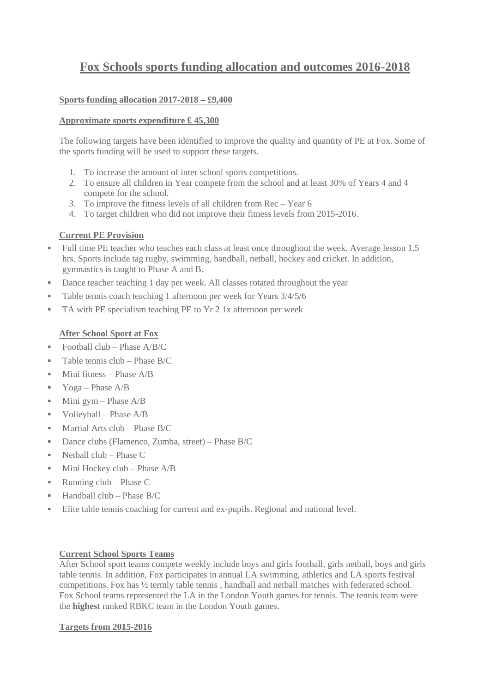# **Fox Schools sports funding allocation and outcomes 2016-2018**

## **Sports funding allocation 2017-2018 – £9,400**

## **Approximate sports expenditure £ 45,300**

The following targets have been identified to improve the quality and quantity of PE at Fox. Some of the sports funding will be used to support these targets.

- 1. To increase the amount of inter school sports competitions.
- 2. To ensure all children in Year compete from the school and at least 30% of Years 4 and 4 compete for the school.
- 3. To improve the fitness levels of all children from Rec Year 6
- 4. To target children who did not improve their fitness levels from 2015-2016.

## **Current PE Provision**

- Full time PE teacher who teaches each class at least once throughout the week. Average lesson 1.5 hrs. Sports include tag rugby, swimming, handball, netball, hockey and cricket. In addition, gymnastics is taught to Phase A and B.
- Dance teacher teaching 1 day per week. All classes rotated throughout the year
- Table tennis coach teaching 1 afternoon per week for Years  $3/4/5/6$
- TA with PE specialism teaching PE to Yr 2 1x afternoon per week

## **After School Sport at Fox**

- Football club Phase  $A/B/C$
- Table tennis club Phase B/C
- $\blacksquare$  Mini fitness Phase A/B
- Yoga Phase  $A/B$
- $\blacksquare$  Mini gym Phase A/B
- $\blacksquare$  Volleyball Phase A/B
- $Martial Arts club Phase B/C$
- Dance clubs (Flamenco, Zumba, street) Phase B/C
- $\blacksquare$  Netball club Phase C
- $\blacksquare$  Mini Hockey club Phase A/B
- Running  $club Phase C$
- $\blacksquare$  Handball club Phase B/C
- Elite table tennis coaching for current and ex-pupils. Regional and national level.

#### **Current School Sports Teams**

After School sport teams compete weekly include boys and girls football, girls netball, boys and girls table tennis. In addition, Fox participates in annual LA swimming, athletics and LA sports festival competitions. Fox has ½ termly table tennis , handball and netball matches with federated school. Fox School teams represented the LA in the London Youth games for tennis. The tennis team were the **highest** ranked RBKC team in the London Youth games.

#### **Targets from 2015-2016**